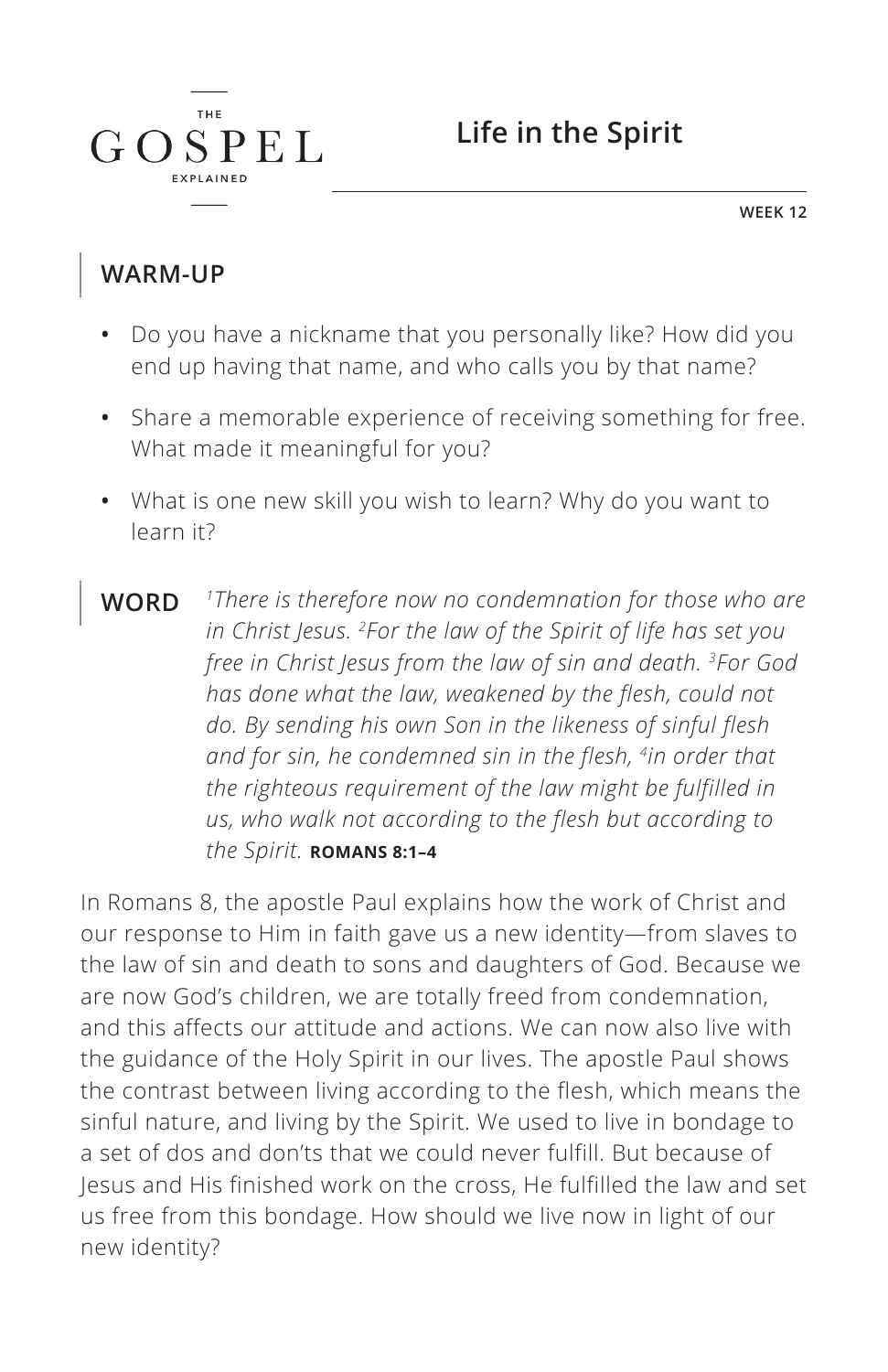

**WEEK 12**

### **WARM-UP**

 $G \Omega$ 

**THE** 

SPEL

- **•** Do you have a nickname that you personally like? How did you end up having that name, and who calls you by that name?
- **•** Share a memorable experience of receiving something for free. What made it meaningful for you?
- **•** What is one new skill you wish to learn? Why do you want to learn it?
- **WORD** *1There is therefore now no condemnation for those who are in Christ Jesus. 2For the law of the Spirit of life has set you free in Christ Jesus from the law of sin and death. 3For God has done what the law, weakened by the flesh, could not do. By sending his own Son in the likeness of sinful flesh and for sin, he condemned sin in the flesh, 4in order that the righteous requirement of the law might be fulfilled in us, who walk not according to the flesh but according to the Spirit. ^***ROMANS 8:1–4**

In Romans 8, the apostle Paul explains how the work of Christ and our response to Him in faith gave us a new identity—from slaves to the law of sin and death to sons and daughters of God. Because we are now God's children, we are totally freed from condemnation, and this affects our attitude and actions. We can now also live with the guidance of the Holy Spirit in our lives. The apostle Paul shows the contrast between living according to the flesh, which means the sinful nature, and living by the Spirit. We used to live in bondage to a set of dos and don'ts that we could never fulfill. But because of Jesus and His finished work on the cross, He fulfilled the law and set us free from this bondage. How should we live now in light of our new identity?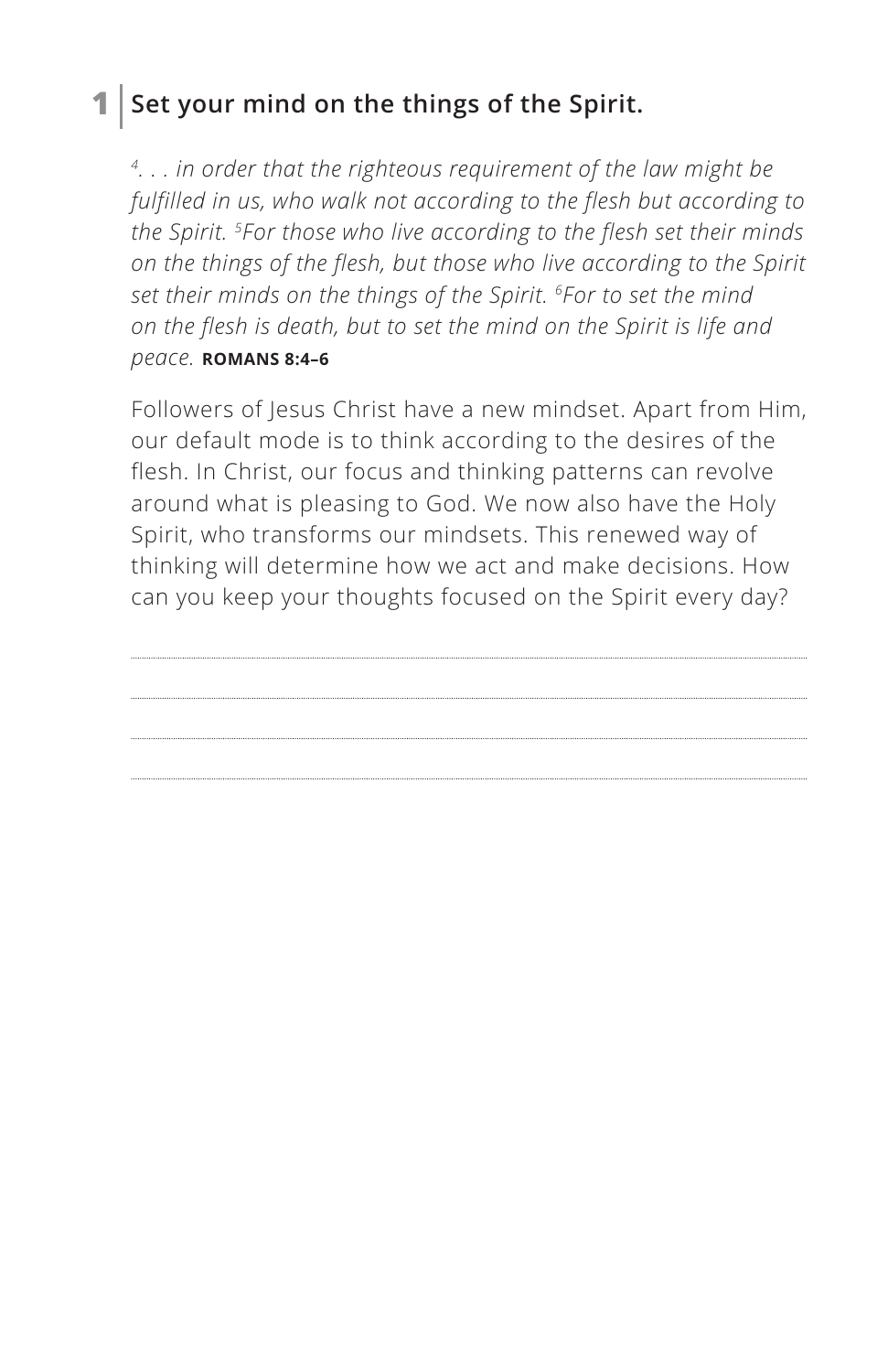## **1 Set your mind on the things of the Spirit.**

*4. . . in order that the righteous requirement of the law might be fulfilled in us, who walk not according to the flesh but according to the Spirit. 5For those who live according to the flesh set their minds on the things of the flesh, but those who live according to the Spirit set their minds on the things of the Spirit. 6For to set the mind on the flesh is death, but to set the mind on the Spirit is life and peace. ^***ROMANS 8:4–6**

Followers of Jesus Christ have a new mindset. Apart from Him, our default mode is to think according to the desires of the flesh. In Christ, our focus and thinking patterns can revolve around what is pleasing to God. We now also have the Holy Spirit, who transforms our mindsets. This renewed way of thinking will determine how we act and make decisions. How can you keep your thoughts focused on the Spirit every day?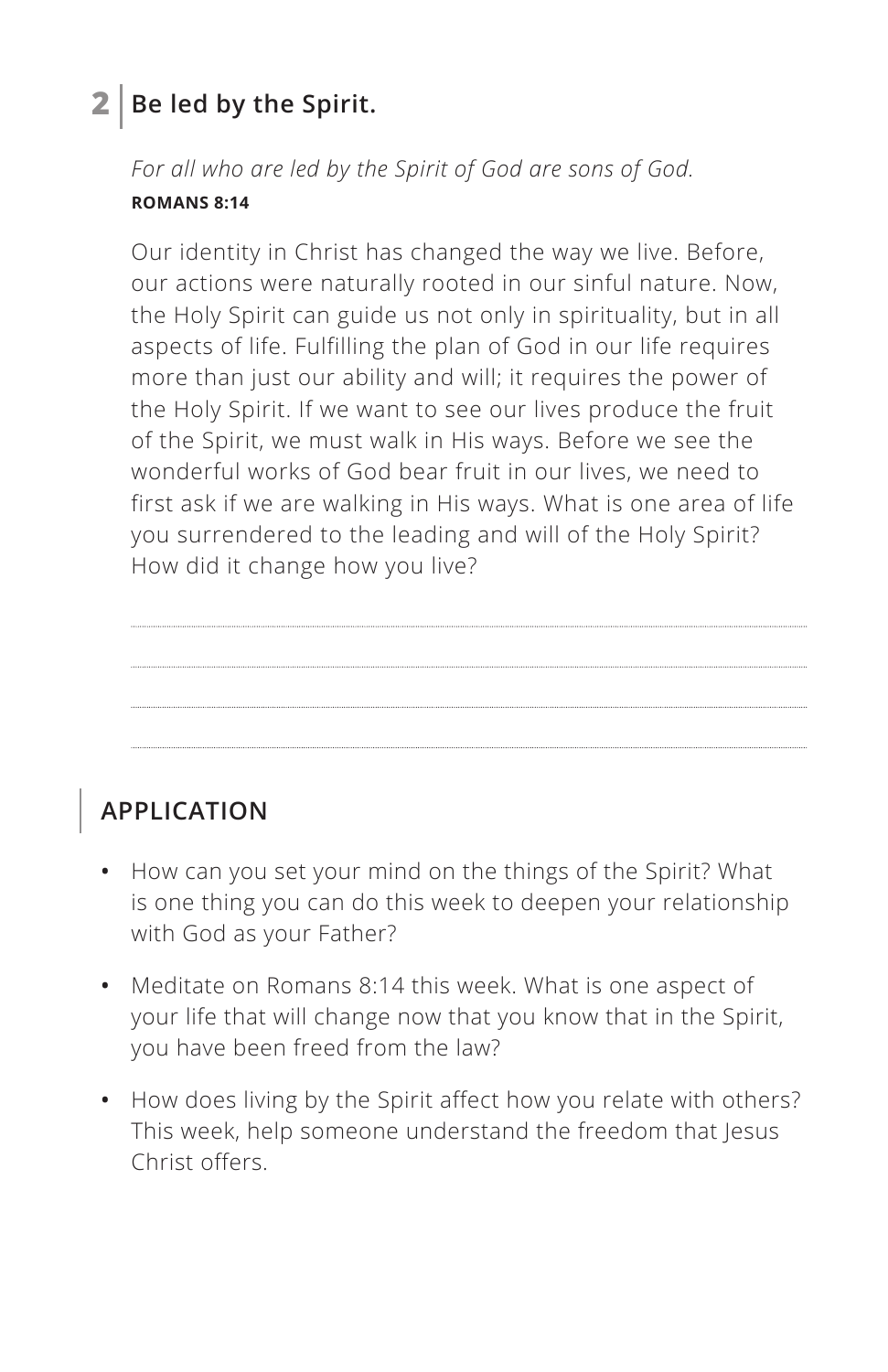## **2 Be led by the Spirit.**

*For all who are led by the Spirit of God are sons of God. ^***ROMANS 8:14**

Our identity in Christ has changed the way we live. Before, our actions were naturally rooted in our sinful nature. Now, the Holy Spirit can guide us not only in spirituality, but in all aspects of life. Fulfilling the plan of God in our life requires more than just our ability and will; it requires the power of the Holy Spirit. If we want to see our lives produce the fruit of the Spirit, we must walk in His ways. Before we see the wonderful works of God bear fruit in our lives, we need to first ask if we are walking in His ways. What is one area of life you surrendered to the leading and will of the Holy Spirit? How did it change how you live?

## **APPLICATION**

- **•** How can you set your mind on the things of the Spirit? What is one thing you can do this week to deepen your relationship with God as your Father?
- **•** Meditate on Romans 8:14 this week. What is one aspect of your life that will change now that you know that in the Spirit, you have been freed from the law?
- **•** How does living by the Spirit affect how you relate with others? This week, help someone understand the freedom that Jesus Christ offers.